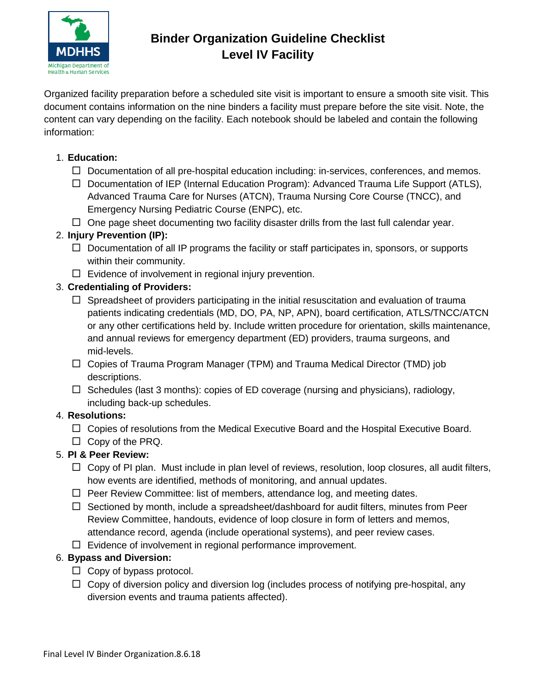

# **Binder Organization Guideline Checklist Level IV Facility**

Organized facility preparation before a scheduled site visit is important to ensure a smooth site visit. This document contains information on the nine binders a facility must prepare before the site visit. Note, the content can vary depending on the facility. Each notebook should be labeled and contain the following information:

### 1. **Education:**

- $\Box$  Documentation of all pre-hospital education including: in-services, conferences, and memos.
- $\Box$  Documentation of IEP (Internal Education Program): Advanced Trauma Life Support (ATLS), Advanced Trauma Care for Nurses (ATCN), Trauma Nursing Core Course (TNCC), and Emergency Nursing Pediatric Course (ENPC), etc.
- $\Box$  One page sheet documenting two facility disaster drills from the last full calendar year.

## 2. **Injury Prevention (IP):**

- $\Box$  Documentation of all IP programs the facility or staff participates in, sponsors, or supports within their community.
- $\Box$  Evidence of involvement in regional injury prevention.

#### 3. **Credentialing of Providers:**

- $\Box$  Spreadsheet of providers participating in the initial resuscitation and evaluation of trauma patients indicating credentials (MD, DO, PA, NP, APN), board certification, ATLS/TNCC/ATCN or any other certifications held by. Include written procedure for orientation, skills maintenance, and annual reviews for emergency department (ED) providers, trauma surgeons, and mid-levels.
- $\Box$  Copies of Trauma Program Manager (TPM) and Trauma Medical Director (TMD) job descriptions.
- $\Box$  Schedules (last 3 months): copies of ED coverage (nursing and physicians), radiology, including back-up schedules.

#### 4. **Resolutions:**

- $\Box$  Copies of resolutions from the Medical Executive Board and the Hospital Executive Board.
- $\Box$  Copy of the PRQ.

#### 5. **PI & Peer Review:**

- $\Box$  Copy of PI plan. Must include in plan level of reviews, resolution, loop closures, all audit filters, how events are identified, methods of monitoring, and annual updates.
- $\Box$  Peer Review Committee: list of members, attendance log, and meeting dates.
- $\Box$  Sectioned by month, include a spreadsheet/dashboard for audit filters, minutes from Peer Review Committee, handouts, evidence of loop closure in form of letters and memos, attendance record, agenda (include operational systems), and peer review cases.
- $\Box$  Evidence of involvement in regional performance improvement.

# 6. **Bypass and Diversion:**

- $\Box$  Copy of bypass protocol.
- $\Box$  Copy of diversion policy and diversion log (includes process of notifying pre-hospital, any diversion events and trauma patients affected).